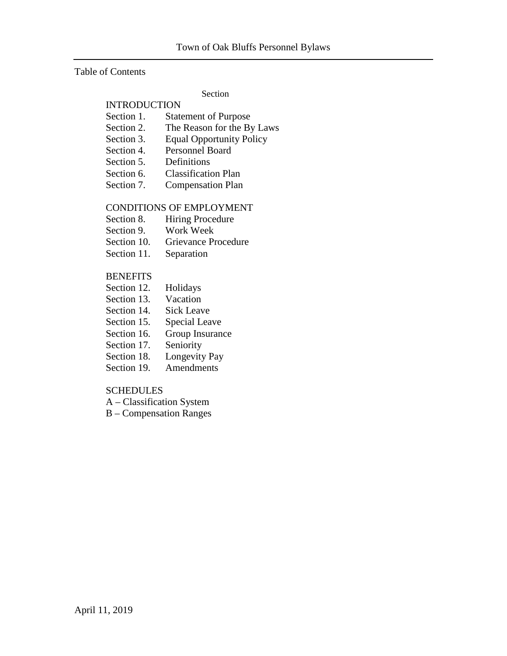#### Table of Contents

#### Section

# INTRODUCTION

- Section 1. Statement of Purpose
- Section 2. The Reason for the By Laws
- Section 3. Equal Opportunity Policy
- Section 4. Personnel Board
- Section 5. Definitions
- Section 6. Classification Plan
- Section 7. Compensation Plan

#### CONDITIONS OF EMPLOYMENT

- Section 8. Hiring Procedure
- Section 9. Work Week
- Section 10. Grievance Procedure
- Section 11. Separation

#### **BENEFITS**

- Section 12. Holidays
- Section 13. Vacation
- Section 14. Sick Leave
- Section 15. Special Leave
- Section 16. Group Insurance
- Section 17. Seniority
- Section 18. Longevity Pay
- Section 19. Amendments

#### SCHEDULES

- A Classification System
- B Compensation Ranges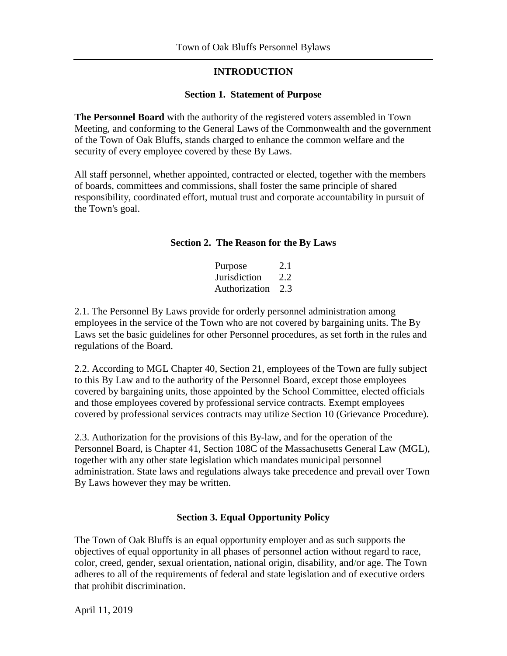#### **INTRODUCTION**

#### **Section 1. Statement of Purpose**

**The Personnel Board** with the authority of the registered voters assembled in Town Meeting, and conforming to the General Laws of the Commonwealth and the government of the Town of Oak Bluffs, stands charged to enhance the common welfare and the security of every employee covered by these By Laws.

All staff personnel, whether appointed, contracted or elected, together with the members of boards, committees and commissions, shall foster the same principle of shared responsibility, coordinated effort, mutual trust and corporate accountability in pursuit of the Town's goal.

#### **Section 2. The Reason for the By Laws**

| Purpose       | 2.1 |
|---------------|-----|
| Jurisdiction  | 2.2 |
| Authorization | 2.3 |

2.1. The Personnel By Laws provide for orderly personnel administration among employees in the service of the Town who are not covered by bargaining units. The By Laws set the basic guidelines for other Personnel procedures, as set forth in the rules and regulations of the Board.

2.2. According to MGL Chapter 40, Section 21, employees of the Town are fully subject to this By Law and to the authority of the Personnel Board, except those employees covered by bargaining units, those appointed by the School Committee, elected officials and those employees covered by professional service contracts. Exempt employees covered by professional services contracts may utilize Section 10 (Grievance Procedure).

2.3. Authorization for the provisions of this By-law, and for the operation of the Personnel Board, is Chapter 41, Section 108C of the Massachusetts General Law (MGL), together with any other state legislation which mandates municipal personnel administration. State laws and regulations always take precedence and prevail over Town By Laws however they may be written.

#### **Section 3. Equal Opportunity Policy**

The Town of Oak Bluffs is an equal opportunity employer and as such supports the objectives of equal opportunity in all phases of personnel action without regard to race, color, creed, gender, sexual orientation, national origin, disability, and/or age. The Town adheres to all of the requirements of federal and state legislation and of executive orders that prohibit discrimination.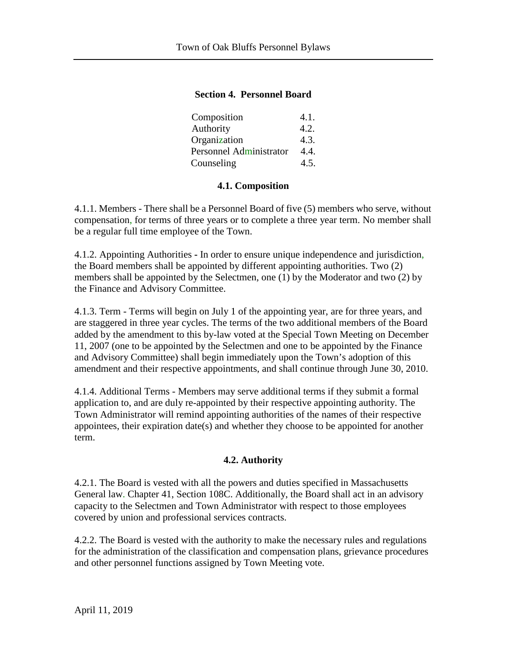#### **Section 4. Personnel Board**

| Composition             | 4.1. |
|-------------------------|------|
| Authority               | 4.2. |
| Organization            | 4.3. |
| Personnel Administrator | 4.4. |
| Counseling              | 4.5. |

#### **4.1. Composition**

4.1.1. Members - There shall be a Personnel Board of five (5) members who serve, without compensation, for terms of three years or to complete a three year term. No member shall be a regular full time employee of the Town.

4.1.2. Appointing Authorities **-** In order to ensure unique independence and jurisdiction, the Board members shall be appointed by different appointing authorities. Two (2) members shall be appointed by the Selectmen, one (1) by the Moderator and two (2) by the Finance and Advisory Committee.

4.1.3. Term - Terms will begin on July 1 of the appointing year, are for three years, and are staggered in three year cycles. The terms of the two additional members of the Board added by the amendment to this by-law voted at the Special Town Meeting on December 11, 2007 (one to be appointed by the Selectmen and one to be appointed by the Finance and Advisory Committee) shall begin immediately upon the Town's adoption of this amendment and their respective appointments, and shall continue through June 30, 2010.

4.1.4. Additional Terms - Members may serve additional terms if they submit a formal application to, and are duly re-appointed by their respective appointing authority. The Town Administrator will remind appointing authorities of the names of their respective appointees, their expiration date(s) and whether they choose to be appointed for another term.

#### **4.2. Authority**

4.2.1. The Board is vested with all the powers and duties specified in Massachusetts General law. Chapter 41, Section 108C. Additionally, the Board shall act in an advisory capacity to the Selectmen and Town Administrator with respect to those employees covered by union and professional services contracts.

4.2.2. The Board is vested with the authority to make the necessary rules and regulations for the administration of the classification and compensation plans, grievance procedures and other personnel functions assigned by Town Meeting vote.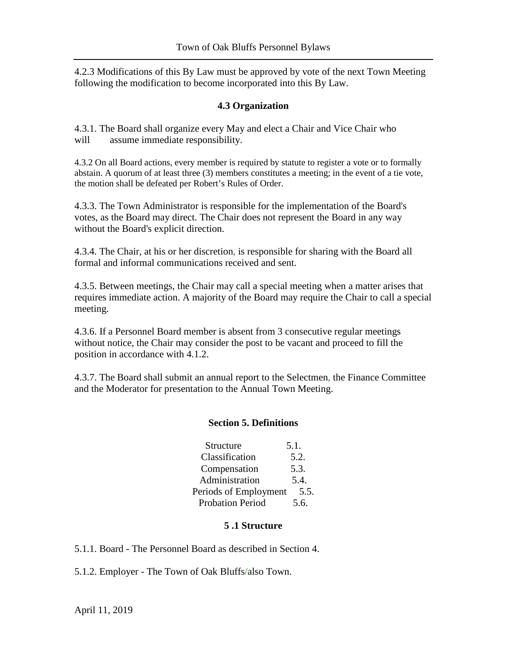4.2.3 Modifications of this By Law must be approved by vote of the next Town Meeting following the modification to become incorporated into this By Law.

### **4.3 Organization**

4.3.1. The Board shall organize every May and elect a Chair and Vice Chair who will assume immediate responsibility.

4.3.2 On all Board actions, every member is required by statute to register a vote or to formally abstain. A quorum of at least three (3) members constitutes a meeting; in the event of a tie vote, the motion shall be defeated per Robert's Rules of Order.

4.3.3. The Town Administrator is responsible for the implementation of the Board's votes, as the Board may direct. The Chair does not represent the Board in any way without the Board's explicit direction.

4.3.4. The Chair, at his or her discretion, is responsible for sharing with the Board all formal and informal communications received and sent.

4.3.5. Between meetings, the Chair may call a special meeting when a matter arises that requires immediate action. A majority of the Board may require the Chair to call a special meeting.

4.3.6. If a Personnel Board member is absent from 3 consecutive regular meetings without notice, the Chair may consider the post to be vacant and proceed to fill the position in accordance with 4.1.2.

4.3.7. The Board shall submit an annual report to the Selectmen, the Finance Committee and the Moderator for presentation to the Annual Town Meeting.

#### **Section 5. Definitions**

| Structure               | 5.1. |
|-------------------------|------|
| Classification          | 5.2. |
| Compensation            | 5.3. |
| Administration          | 5.4. |
| Periods of Employment   | 5.5. |
| <b>Probation Period</b> | 5.6. |

#### **5 .1 Structure**

5.1.1. Board *-* The Personnel Board as described in Section 4.

5.1.2. Employer - The Town of Oak Bluffs/also Town.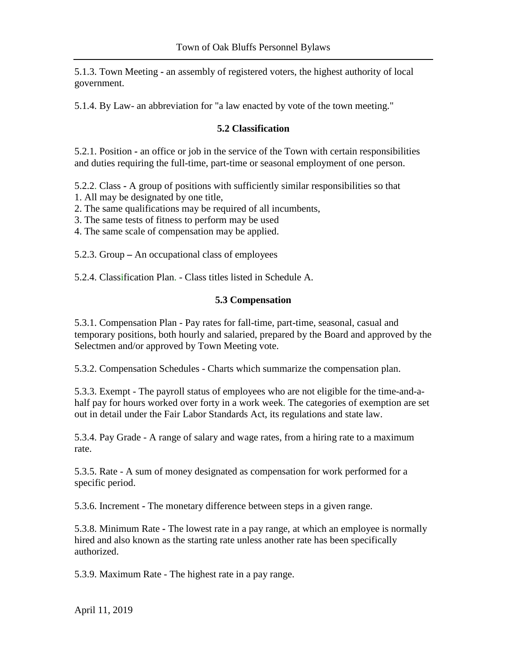5.1.3. Town Meeting *-* an assembly of registered voters, the highest authority of local government.

5.1.4. By Law- an abbreviation for "a law enacted by vote of the town meeting."

### **5.2 Classification**

5.2.1. Position *-* an office or job in the service of the Town with certain responsibilities and duties requiring the full-time, part-time or seasonal employment of one person.

5.2.2. Class *-* A group of positions with sufficiently similar responsibilities so that

- 1. All may be designated by one title,
- 2. The same qualifications may be required of all incumbents,
- 3. The same tests of fitness to perform may be used
- 4. The same scale of compensation may be applied.

5.2.3. Group **–** An occupational class of employees

5.2.4. Classification Plan. *-* Class titles listed in Schedule A.

#### **5.3 Compensation**

5.3.1. Compensation Plan - Pay rates for fall-time, part-time, seasonal, casual and temporary positions, both hourly and salaried, prepared by the Board and approved by the Selectmen and/or approved by Town Meeting vote.

5.3.2. Compensation Schedules - Charts which summarize the compensation plan.

5.3.3. Exempt - The payroll status of employees who are not eligible for the time-and-ahalf pay for hours worked over forty in a work week. The categories of exemption are set out in detail under the Fair Labor Standards Act, its regulations and state law.

5.3.4. Pay Grade - A range of salary and wage rates, from a hiring rate to a maximum rate.

5.3.5. Rate - A sum of money designated as compensation for work performed for a specific period.

5.3.6. Increment *-* The monetary difference between steps in a given range.

5.3.8. Minimum Rate *-* The lowest rate in a pay range, at which an employee is normally hired and also known as the starting rate unless another rate has been specifically authorized.

5.3.9. Maximum Rate - The highest rate in a pay range.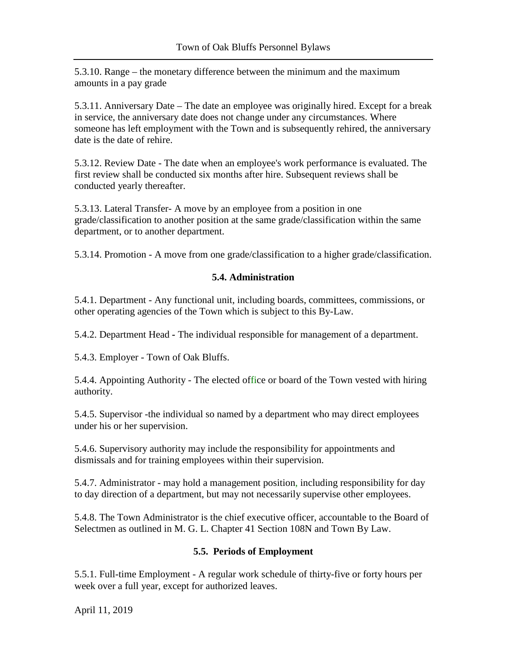5.3.10. Range – the monetary difference between the minimum and the maximum amounts in a pay grade

5.3.11. Anniversary Date – The date an employee was originally hired. Except for a break in service, the anniversary date does not change under any circumstances. Where someone has left employment with the Town and is subsequently rehired, the anniversary date is the date of rehire.

5.3.12. Review Date - The date when an employee's work performance is evaluated. The first review shall be conducted six months after hire. Subsequent reviews shall be conducted yearly thereafter.

5.3.13. Lateral Transfer- A move by an employee from a position in one grade/classification to another position at the same grade/classification within the same department, or to another department.

5.3.14. Promotion - A move from one grade/classification to a higher grade/classification.

# **5.4. Administration**

5.4.1. Department - Any functional unit, including boards, committees, commissions, or other operating agencies of the Town which is subject to this By-Law.

5.4.2. Department Head *-* The individual responsible for management of a department.

5.4.3. Employer - Town of Oak Bluffs.

5.4.4. Appointing Authority - The elected office or board of the Town vested with hiring authority.

5.4.5. Supervisor -the individual so named by a department who may direct employees under his or her supervision.

5.4.6. Supervisory authority may include the responsibility for appointments and dismissals and for training employees within their supervision.

5.4.7. Administrator *-* may hold a management position, including responsibility for day to day direction of a department, but may not necessarily supervise other employees.

5.4.8. The Town Administrator is the chief executive officer, accountable to the Board of Selectmen as outlined in M. G. L. Chapter 41 Section 108N and Town By Law.

# **5.5. Periods of Employment**

5.5.1. Full-time Employment *-* A regular work schedule of thirty-five or forty hours per week over a full year, except for authorized leaves.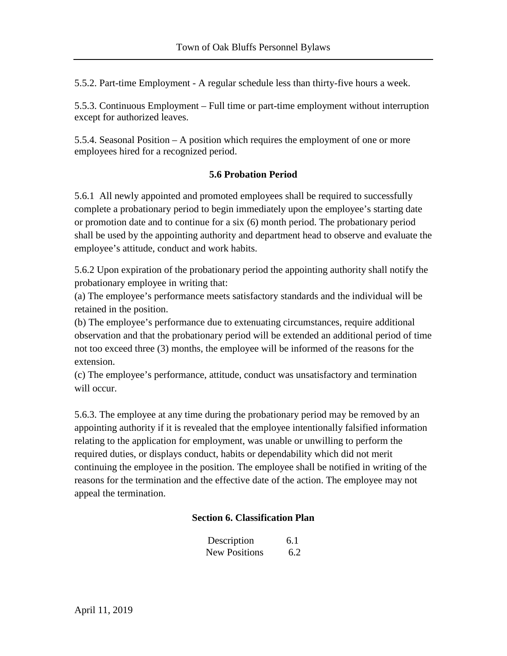5.5.2. Part-time Employment - A regular schedule less than thirty-five hours a week.

5.5.3. Continuous Employment – Full time or part-time employment without interruption except for authorized leaves.

5.5.4. Seasonal Position – A position which requires the employment of one or more employees hired for a recognized period.

### **5.6 Probation Period**

5.6.1 All newly appointed and promoted employees shall be required to successfully complete a probationary period to begin immediately upon the employee's starting date or promotion date and to continue for a six (6) month period. The probationary period shall be used by the appointing authority and department head to observe and evaluate the employee's attitude, conduct and work habits.

5.6.2 Upon expiration of the probationary period the appointing authority shall notify the probationary employee in writing that:

(a) The employee's performance meets satisfactory standards and the individual will be retained in the position.

(b) The employee's performance due to extenuating circumstances, require additional observation and that the probationary period will be extended an additional period of time not too exceed three (3) months, the employee will be informed of the reasons for the extension.

(c) The employee's performance, attitude, conduct was unsatisfactory and termination will occur.

5.6.3. The employee at any time during the probationary period may be removed by an appointing authority if it is revealed that the employee intentionally falsified information relating to the application for employment, was unable or unwilling to perform the required duties, or displays conduct, habits or dependability which did not merit continuing the employee in the position. The employee shall be notified in writing of the reasons for the termination and the effective date of the action. The employee may not appeal the termination.

# **Section 6. Classification Plan**

| Description          | 6.1 |
|----------------------|-----|
| <b>New Positions</b> | 6.2 |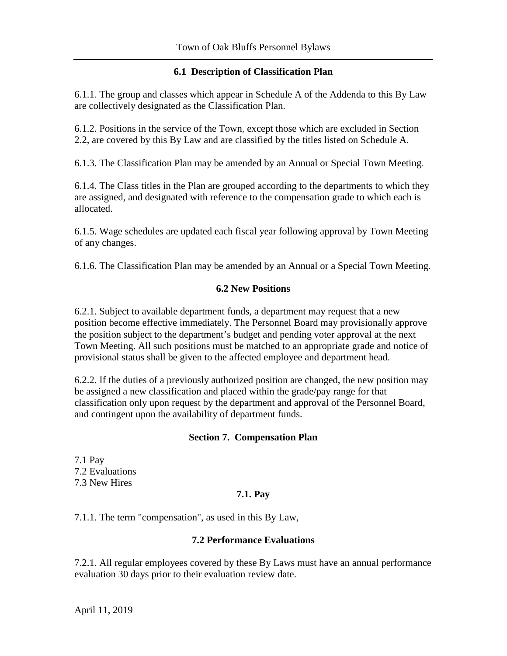### **6.1 Description of Classification Plan**

6.1.1. The group and classes which appear in Schedule A of the Addenda to this By Law are collectively designated as the Classification Plan.

6.1.2. Positions in the service of the Town, except those which are excluded in Section 2.2, are covered by this By Law and are classified by the titles listed on Schedule A.

6.1.3. The Classification Plan may be amended by an Annual or Special Town Meeting.

6.1.4. The Class titles in the Plan are grouped according to the departments to which they are assigned, and designated with reference to the compensation grade to which each is allocated.

6.1.5. Wage schedules are updated each fiscal year following approval by Town Meeting of any changes.

6.1.6. The Classification Plan may be amended by an Annual or a Special Town Meeting.

### **6.2 New Positions**

6.2.1. Subject to available department funds, a department may request that a new position become effective immediately. The Personnel Board may provisionally approve the position subject to the department's budget and pending voter approval at the next Town Meeting. All such positions must be matched to an appropriate grade and notice of provisional status shall be given to the affected employee and department head.

6.2.2. If the duties of a previously authorized position are changed, the new position may be assigned a new classification and placed within the grade/pay range for that classification only upon request by the department and approval of the Personnel Board, and contingent upon the availability of department funds.

# **Section 7. Compensation Plan**

7.1 Pay 7.2 Evaluations 7.3 New Hires

# **7.1. Pay**

7.1.1. The term "compensation", as used in this By Law,

#### **7.2 Performance Evaluations**

7.2.1. All regular employees covered by these By Laws must have an annual performance evaluation 30 days prior to their evaluation review date.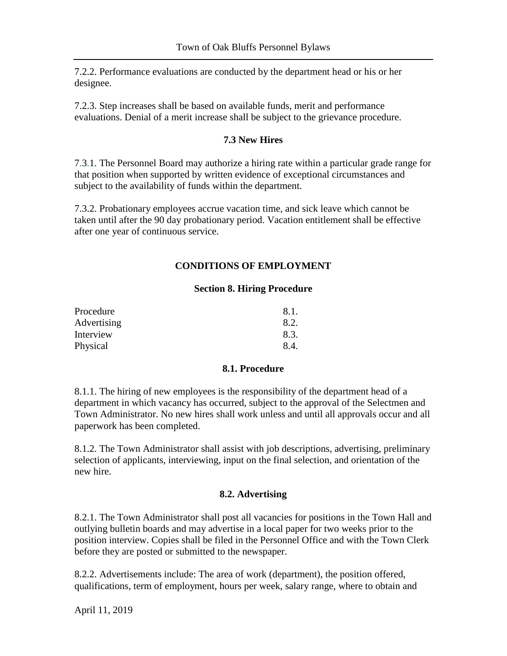7.2.2. Performance evaluations are conducted by the department head or his or her designee.

7.2.3. Step increases shall be based on available funds, merit and performance evaluations. Denial of a merit increase shall be subject to the grievance procedure.

### **7.3 New Hires**

7.3.1. The Personnel Board may authorize a hiring rate within a particular grade range for that position when supported by written evidence of exceptional circumstances and subject to the availability of funds within the department.

7.3.2. Probationary employees accrue vacation time, and sick leave which cannot be taken until after the 90 day probationary period. Vacation entitlement shall be effective after one year of continuous service.

# **CONDITIONS OF EMPLOYMENT**

#### **Section 8. Hiring Procedure**

| Procedure   | 8.1. |
|-------------|------|
| Advertising | 8.2. |
| Interview   | 8.3. |
| Physical    | 8.4. |

#### **8.1. Procedure**

8.1.1. The hiring of new employees is the responsibility of the department head of a department in which vacancy has occurred, subject to the approval of the Selectmen and Town Administrator. No new hires shall work unless and until all approvals occur and all paperwork has been completed.

8.1.2. The Town Administrator shall assist with job descriptions, advertising, preliminary selection of applicants, interviewing, input on the final selection, and orientation of the new hire.

#### **8.2. Advertising**

8.2.1. The Town Administrator shall post all vacancies for positions in the Town Hall and outlying bulletin boards and may advertise in a local paper for two weeks prior to the position interview. Copies shall be filed in the Personnel Office and with the Town Clerk before they are posted or submitted to the newspaper.

8.2.2. Advertisements include: The area of work (department), the position offered, qualifications, term of employment, hours per week, salary range, where to obtain and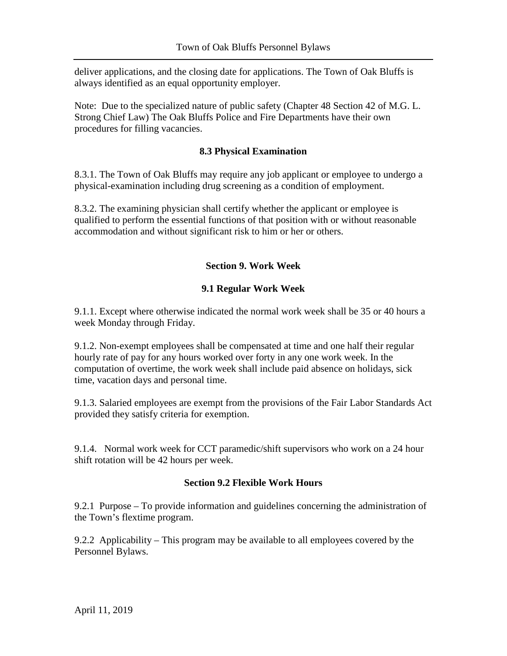deliver applications, and the closing date for applications. The Town of Oak Bluffs is always identified as an equal opportunity employer.

Note: Due to the specialized nature of public safety (Chapter 48 Section 42 of M.G. L. Strong Chief Law) The Oak Bluffs Police and Fire Departments have their own procedures for filling vacancies.

#### **8.3 Physical Examination**

8.3.1. The Town of Oak Bluffs may require any job applicant or employee to undergo a physical-examination including drug screening as a condition of employment.

8.3.2. The examining physician shall certify whether the applicant or employee is qualified to perform the essential functions of that position with or without reasonable accommodation and without significant risk to him or her or others.

# **Section 9. Work Week**

### **9.1 Regular Work Week**

9.1.1. Except where otherwise indicated the normal work week shall be 35 or 40 hours a week Monday through Friday.

9.1.2. Non-exempt employees shall be compensated at time and one half their regular hourly rate of pay for any hours worked over forty in any one work week. In the computation of overtime, the work week shall include paid absence on holidays, sick time, vacation days and personal time.

9.1.3. Salaried employees are exempt from the provisions of the Fair Labor Standards Act provided they satisfy criteria for exemption.

9.1.4. Normal work week for CCT paramedic/shift supervisors who work on a 24 hour shift rotation will be 42 hours per week.

#### **Section 9.2 Flexible Work Hours**

9.2.1 Purpose – To provide information and guidelines concerning the administration of the Town's flextime program.

9.2.2 Applicability – This program may be available to all employees covered by the Personnel Bylaws.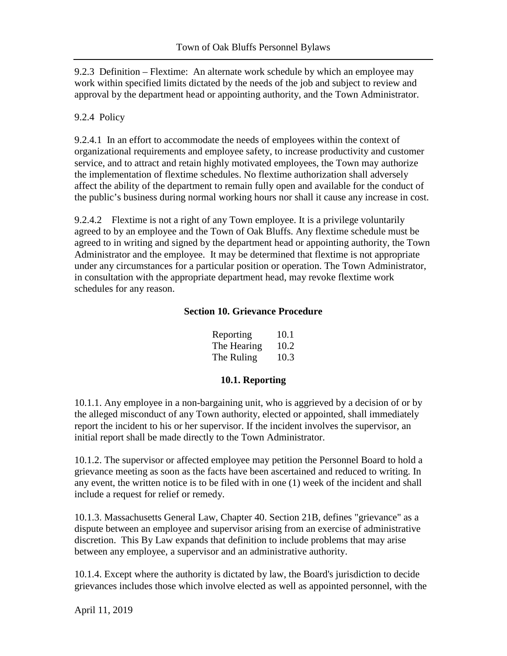9.2.3 Definition – Flextime: An alternate work schedule by which an employee may work within specified limits dictated by the needs of the job and subject to review and approval by the department head or appointing authority, and the Town Administrator.

#### 9.2.4 Policy

9.2.4.1 In an effort to accommodate the needs of employees within the context of organizational requirements and employee safety, to increase productivity and customer service, and to attract and retain highly motivated employees, the Town may authorize the implementation of flextime schedules. No flextime authorization shall adversely affect the ability of the department to remain fully open and available for the conduct of the public's business during normal working hours nor shall it cause any increase in cost.

9.2.4.2 Flextime is not a right of any Town employee. It is a privilege voluntarily agreed to by an employee and the Town of Oak Bluffs. Any flextime schedule must be agreed to in writing and signed by the department head or appointing authority, the Town Administrator and the employee. It may be determined that flextime is not appropriate under any circumstances for a particular position or operation. The Town Administrator, in consultation with the appropriate department head, may revoke flextime work schedules for any reason.

#### **Section 10. Grievance Procedure**

| Reporting   | 10.1 |
|-------------|------|
| The Hearing | 10.2 |
| The Ruling  | 10.3 |

#### **10.1. Reporting**

10.1.1. Any employee in a non-bargaining unit, who is aggrieved by a decision of or by the alleged misconduct of any Town authority, elected or appointed, shall immediately report the incident to his or her supervisor. If the incident involves the supervisor, an initial report shall be made directly to the Town Administrator.

10.1.2. The supervisor or affected employee may petition the Personnel Board to hold a grievance meeting as soon as the facts have been ascertained and reduced to writing. In any event, the written notice is to be filed with in one (1) week of the incident and shall include a request for relief or remedy.

10.1.3. Massachusetts General Law, Chapter 40. Section 21B, defines "grievance" as a dispute between an employee and supervisor arising from an exercise of administrative discretion. This By Law expands that definition to include problems that may arise between any employee, a supervisor and an administrative authority.

10.1.4. Except where the authority is dictated by law, the Board's jurisdiction to decide grievances includes those which involve elected as well as appointed personnel, with the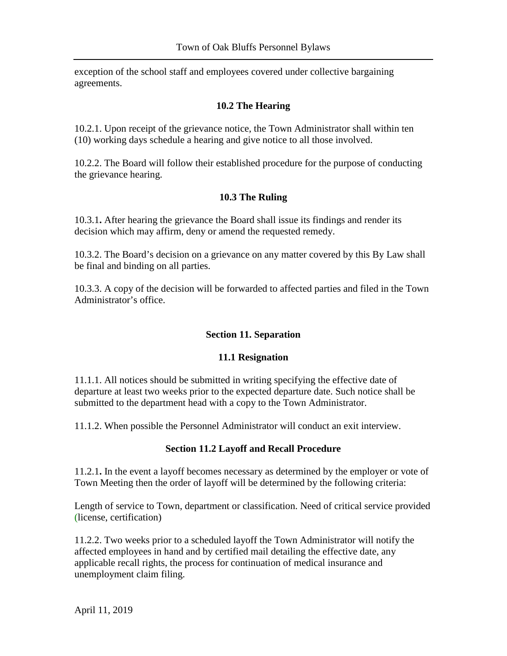exception of the school staff and employees covered under collective bargaining agreements.

#### **10.2 The Hearing**

10.2.1. Upon receipt of the grievance notice, the Town Administrator shall within ten (10) working days schedule a hearing and give notice to all those involved.

10.2.2. The Board will follow their established procedure for the purpose of conducting the grievance hearing.

### **10.3 The Ruling**

10.3.1**.** After hearing the grievance the Board shall issue its findings and render its decision which may affirm, deny or amend the requested remedy.

10.3.2. The Board's decision on a grievance on any matter covered by this By Law shall be final and binding on all parties.

10.3.3. A copy of the decision will be forwarded to affected parties and filed in the Town Administrator's office.

# **Section 11. Separation**

#### **11.1 Resignation**

11.1.1. All notices should be submitted in writing specifying the effective date of departure at least two weeks prior to the expected departure date. Such notice shall be submitted to the department head with a copy to the Town Administrator.

11.1.2. When possible the Personnel Administrator will conduct an exit interview.

# **Section 11.2 Layoff and Recall Procedure**

11.2.1**.** In the event a layoff becomes necessary as determined by the employer or vote of Town Meeting then the order of layoff will be determined by the following criteria:

Length of service to Town, department or classification. Need of critical service provided (license, certification)

11.2.2. Two weeks prior to a scheduled layoff the Town Administrator will notify the affected employees in hand and by certified mail detailing the effective date, any applicable recall rights, the process for continuation of medical insurance and unemployment claim filing.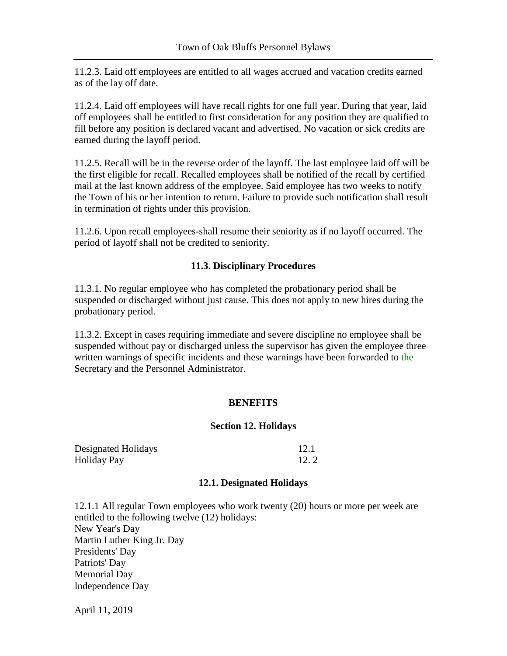11.2.3. Laid off employees are entitled to all wages accrued and vacation credits earned as of the lay off date.

11.2.4. Laid off employees will have recall rights for one full year. During that year, laid off employees shall be entitled to first consideration for any position they are qualified to fill before any position is declared vacant and advertised. No vacation or sick credits are earned during the layoff period.

11.2.5. Recall will be in the reverse order of the layoff. The last employee laid off will be the first eligible for recall. Recalled employees shall be notified of the recall by certified mail at the last known address of the employee. Said employee has two weeks to notify the Town of his or her intention to return. Failure to provide such notification shall result in termination of rights under this provision.

11.2.6. Upon recall employees-shall resume their seniority as if no layoff occurred. The period of layoff shall not be credited to seniority.

### **11.3. Disciplinary Procedures**

11.3.1. No regular employee who has completed the probationary period shall be suspended or discharged without just cause. This does not apply to new hires during the probationary period.

11.3.2. Except in cases requiring immediate and severe discipline no employee shall be suspended without pay or discharged unless the supervisor has given the employee three written warnings of specific incidents and these warnings have been forwarded to the Secretary and the Personnel Administrator.

# **BENEFITS**

#### **Section 12. Holidays**

| Designated Holidays | 12.1 |
|---------------------|------|
| <b>Holiday Pay</b>  | 12.2 |

#### **12.1. Designated Holidays**

12.1.1 All regular Town employees who work twenty (20) hours or more per week are entitled to the following twelve (12) holidays: New Year's Day Martin Luther King Jr. Day Presidents' Day Patriots' Day Memorial Day Independence Day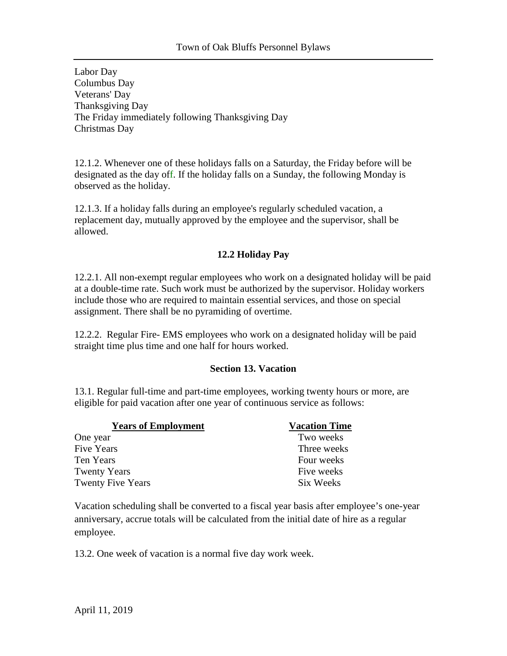Labor Day Columbus Day Veterans' Day Thanksgiving Day The Friday immediately following Thanksgiving Day Christmas Day

12.1.2. Whenever one of these holidays falls on a Saturday, the Friday before will be designated as the day off. If the holiday falls on a Sunday, the following Monday is observed as the holiday.

12.1.3. If a holiday falls during an employee's regularly scheduled vacation, a replacement day, mutually approved by the employee and the supervisor, shall be allowed.

# **12.2 Holiday Pay**

12.2.1. All non-exempt regular employees who work on a designated holiday will be paid at a double-time rate. Such work must be authorized by the supervisor. Holiday workers include those who are required to maintain essential services, and those on special assignment. There shall be no pyramiding of overtime.

12.2.2. Regular Fire- EMS employees who work on a designated holiday will be paid straight time plus time and one half for hours worked.

#### **Section 13. Vacation**

13.1. Regular full-time and part-time employees, working twenty hours or more, are eligible for paid vacation after one year of continuous service as follows:

| <b>Years of Employment</b> | <b>Vacation Time</b> |
|----------------------------|----------------------|
| One year                   | Two weeks            |
| <b>Five Years</b>          | Three weeks          |
| Ten Years                  | Four weeks           |
| <b>Twenty Years</b>        | Five weeks           |
| <b>Twenty Five Years</b>   | Six Weeks            |

Vacation scheduling shall be converted to a fiscal year basis after employee's one-year anniversary, accrue totals will be calculated from the initial date of hire as a regular employee.

13.2. One week of vacation is a normal five day work week.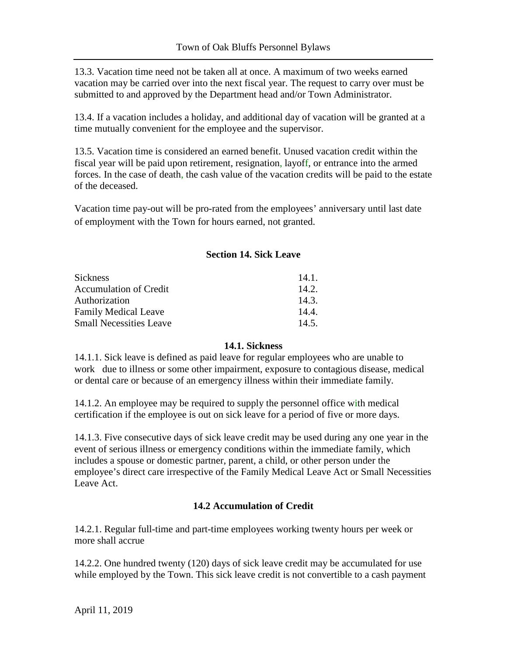13.3. Vacation time need not be taken all at once. A maximum of two weeks earned vacation may be carried over into the next fiscal year. The request to carry over must be submitted to and approved by the Department head and/or Town Administrator.

13.4. If a vacation includes a holiday, and additional day of vacation will be granted at a time mutually convenient for the employee and the supervisor.

13.5. Vacation time is considered an earned benefit. Unused vacation credit within the fiscal year will be paid upon retirement, resignation, layoff, or entrance into the armed forces. In the case of death, the cash value of the vacation credits will be paid to the estate of the deceased.

Vacation time pay-out will be pro-rated from the employees' anniversary until last date of employment with the Town for hours earned, not granted.

### **Section 14. Sick Leave**

| 14.1. |
|-------|
| 14.2. |
| 14.3  |
| 14.4  |
| 14.5. |
|       |

#### **14.1. Sickness**

14.1.1. Sick leave is defined as paid leave for regular employees who are unable to work due to illness or some other impairment, exposure to contagious disease, medical or dental care or because of an emergency illness within their immediate family.

14.1.2. An employee may be required to supply the personnel office with medical certification if the employee is out on sick leave for a period of five or more days.

14.1.3. Five consecutive days of sick leave credit may be used during any one year in the event of serious illness or emergency conditions within the immediate family, which includes a spouse or domestic partner, parent, a child, or other person under the employee's direct care irrespective of the Family Medical Leave Act or Small Necessities Leave Act.

# **14.2 Accumulation of Credit**

14.2.1. Regular full-time and part-time employees working twenty hours per week or more shall accrue

14.2.2. One hundred twenty (120) days of sick leave credit may be accumulated for use while employed by the Town. This sick leave credit is not convertible to a cash payment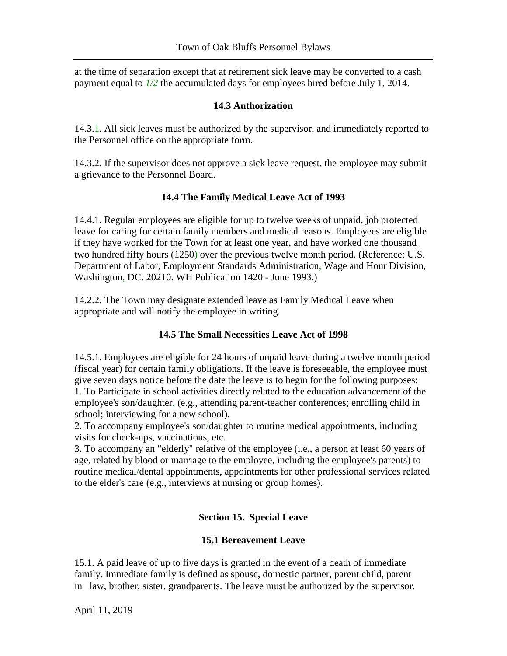at the time of separation except that at retirement sick leave may be converted to a cash payment equal to *1/2* the accumulated days for employees hired before July 1, 2014.

### **14.3 Authorization**

14.3.1. All sick leaves must be authorized by the supervisor, and immediately reported to the Personnel office on the appropriate form.

14.3.2. If the supervisor does not approve a sick leave request, the employee may submit a grievance to the Personnel Board.

### **14.4 The Family Medical Leave Act of 1993**

14.4.1. Regular employees are eligible for up to twelve weeks of unpaid, job protected leave for caring for certain family members and medical reasons. Employees are eligible if they have worked for the Town for at least one year, and have worked one thousand two hundred fifty hours (1250) over the previous twelve month period. (Reference: U.S. Department of Labor, Employment Standards Administration, Wage and Hour Division, Washington, DC. 20210. WH Publication 1420 - June 1993.)

14.2.2. The Town may designate extended leave as Family Medical Leave when appropriate and will notify the employee in writing.

# **14.5 The Small Necessities Leave Act of 1998**

14.5.1. Employees are eligible for 24 hours of unpaid leave during a twelve month period (fiscal year) for certain family obligations. If the leave is foreseeable, the employee must give seven days notice before the date the leave is to begin for the following purposes: 1. To Participate in school activities directly related to the education advancement of the employee's son/daughter, (e.g., attending parent-teacher conferences; enrolling child in school; interviewing for a new school).

2. To accompany employee's son/daughter to routine medical appointments, including visits for check-ups, vaccinations, etc.

3. To accompany an "elderly" relative of the employee (i.e., a person at least 60 years of age, related by blood or marriage to the employee, including the employee's parents) to routine medical/dental appointments, appointments for other professional services related to the elder's care (e.g., interviews at nursing or group homes).

# **Section 15. Special Leave**

#### **15.1 Bereavement Leave**

15.1. A paid leave of up to five days is granted in the event of a death of immediate family. Immediate family is defined as spouse, domestic partner, parent child, parent in law, brother, sister, grandparents. The leave must be authorized by the supervisor.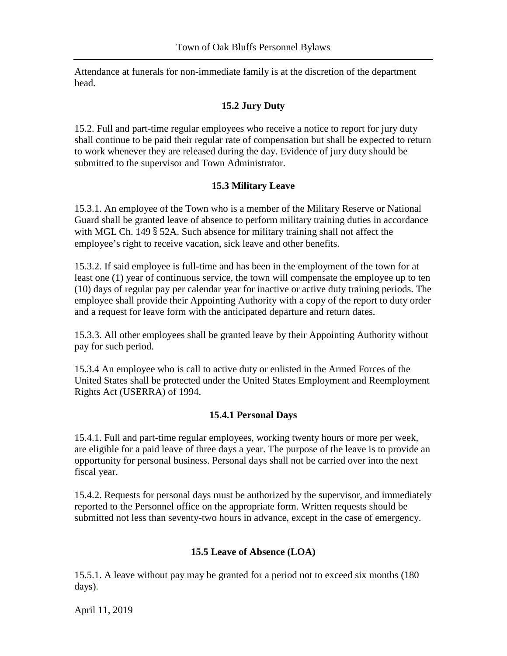Attendance at funerals for non-immediate family is at the discretion of the department head.

## **15.2 Jury Duty**

15.2. Full and part-time regular employees who receive a notice to report for jury duty shall continue to be paid their regular rate of compensation but shall be expected to return to work whenever they are released during the day. Evidence of jury duty should be submitted to the supervisor and Town Administrator.

### **15.3 Military Leave**

15.3.1. An employee of the Town who is a member of the Military Reserve or National Guard shall be granted leave of absence to perform military training duties in accordance with MGL Ch. 149 § 52A. Such absence for military training shall not affect the employee's right to receive vacation, sick leave and other benefits.

15.3.2. If said employee is full-time and has been in the employment of the town for at least one (1) year of continuous service, the town will compensate the employee up to ten (10) days of regular pay per calendar year for inactive or active duty training periods. The employee shall provide their Appointing Authority with a copy of the report to duty order and a request for leave form with the anticipated departure and return dates.

15.3.3. All other employees shall be granted leave by their Appointing Authority without pay for such period.

15.3.4 An employee who is call to active duty or enlisted in the Armed Forces of the United States shall be protected under the United States Employment and Reemployment Rights Act (USERRA) of 1994.

#### **15.4.1 Personal Days**

15.4.1. Full and part-time regular employees, working twenty hours or more per week, are eligible for a paid leave of three days a year. The purpose of the leave is to provide an opportunity for personal business. Personal days shall not be carried over into the next fiscal year.

15.4.2. Requests for personal days must be authorized by the supervisor, and immediately reported to the Personnel office on the appropriate form. Written requests should be submitted not less than seventy-two hours in advance, except in the case of emergency.

# **15.5 Leave of Absence (LOA)**

15.5.1. A leave without pay may be granted for a period not to exceed six months (180 days).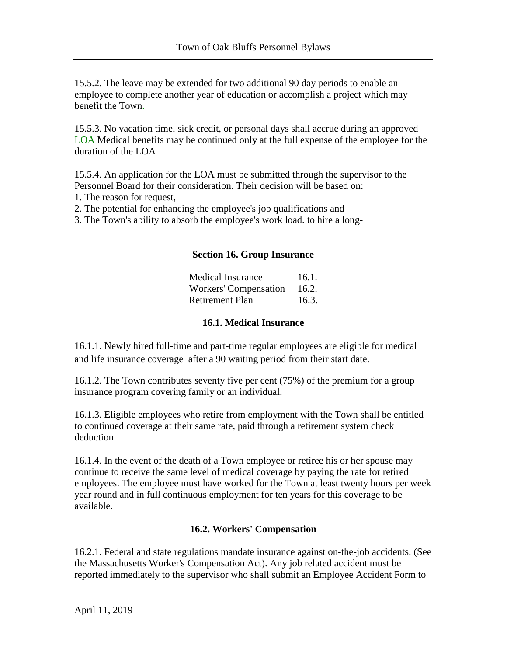15.5.2. The leave may be extended for two additional 90 day periods to enable an employee to complete another year of education or accomplish a project which may benefit the Town.

15.5.3. No vacation time, sick credit, or personal days shall accrue during an approved LOA Medical benefits may be continued only at the full expense of the employee for the duration of the LOA

15.5.4. An application for the LOA must be submitted through the supervisor to the Personnel Board for their consideration. Their decision will be based on:

- 1. The reason for request,
- 2. The potential for enhancing the employee's job qualifications and
- 3. The Town's ability to absorb the employee's work load. to hire a long-

#### **Section 16. Group Insurance**

| <b>Medical Insurance</b> | 16.1. |
|--------------------------|-------|
| Workers' Compensation    | 16.2. |
| <b>Retirement Plan</b>   | 16.3. |

#### **16.1. Medical Insurance**

16.1.1. Newly hired full-time and part-time regular employees are eligible for medical and life insurance coverage after a 90 waiting period from their start date.

16.1.2. The Town contributes seventy five per cent (75%) of the premium for a group insurance program covering family or an individual.

16.1.3. Eligible employees who retire from employment with the Town shall be entitled to continued coverage at their same rate, paid through a retirement system check deduction.

16.1.4. In the event of the death of a Town employee or retiree his or her spouse may continue to receive the same level of medical coverage by paying the rate for retired employees. The employee must have worked for the Town at least twenty hours per week year round and in full continuous employment for ten years for this coverage to be available.

# **16.2. Workers' Compensation**

16.2.1. Federal and state regulations mandate insurance against on-the-job accidents. (See the Massachusetts Worker's Compensation Act). Any job related accident must be reported immediately to the supervisor who shall submit an Employee Accident Form to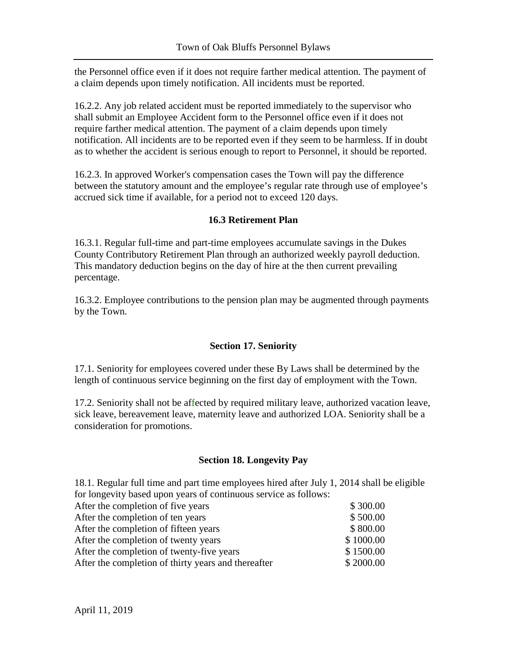the Personnel office even if it does not require farther medical attention. The payment of a claim depends upon timely notification. All incidents must be reported.

16.2.2. Any job related accident must be reported immediately to the supervisor who shall submit an Employee Accident form to the Personnel office even if it does not require farther medical attention. The payment of a claim depends upon timely notification. All incidents are to be reported even if they seem to be harmless. If in doubt as to whether the accident is serious enough to report to Personnel, it should be reported.

16.2.3. In approved Worker's compensation cases the Town will pay the difference between the statutory amount and the employee's regular rate through use of employee's accrued sick time if available, for a period not to exceed 120 days.

### **16.3 Retirement Plan**

16.3.1. Regular full-time and part-time employees accumulate savings in the Dukes County Contributory Retirement Plan through an authorized weekly payroll deduction. This mandatory deduction begins on the day of hire at the then current prevailing percentage.

16.3.2. Employee contributions to the pension plan may be augmented through payments by the Town.

# **Section 17. Seniority**

17.1. Seniority for employees covered under these By Laws shall be determined by the length of continuous service beginning on the first day of employment with the Town.

17.2. Seniority shall not be affected by required military leave, authorized vacation leave, sick leave, bereavement leave, maternity leave and authorized LOA. Seniority shall be a consideration for promotions.

#### **Section 18. Longevity Pay**

18.1. Regular full time and part time employees hired after July 1, 2014 shall be eligible for longevity based upon years of continuous service as follows:

| After the completion of five years                  | \$300.00  |
|-----------------------------------------------------|-----------|
| After the completion of ten years                   | \$500.00  |
| After the completion of fifteen years               | \$800.00  |
| After the completion of twenty years                | \$1000.00 |
| After the completion of twenty-five years           | \$1500.00 |
| After the completion of thirty years and thereafter | \$2000.00 |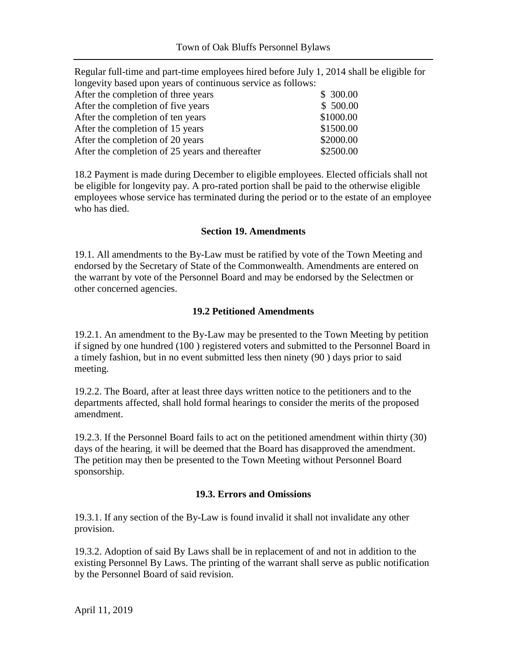| Regular full-time and part-time employees hired before July 1, 2014 shall be eligible for |           |
|-------------------------------------------------------------------------------------------|-----------|
| longevity based upon years of continuous service as follows:                              |           |
| After the completion of three years                                                       | \$300.00  |
| After the completion of five years                                                        | \$500.00  |
| After the completion of ten years                                                         | \$1000.00 |
| After the completion of 15 years                                                          | \$1500.00 |
| After the completion of 20 years                                                          | \$2000.00 |
| After the completion of 25 years and thereafter                                           | \$2500.00 |

18.2 Payment is made during December to eligible employees. Elected officials shall not be eligible for longevity pay. A pro-rated portion shall be paid to the otherwise eligible employees whose service has terminated during the period or to the estate of an employee who has died.

#### **Section 19. Amendments**

19.1. All amendments to the By-Law must be ratified by vote of the Town Meeting and endorsed by the Secretary of State of the Commonwealth. Amendments are entered on the warrant by vote of the Personnel Board and may be endorsed by the Selectmen or other concerned agencies.

#### **19.2 Petitioned Amendments**

19.2.1. An amendment to the By-Law may be presented to the Town Meeting by petition if signed by one hundred (100 ) registered voters and submitted to the Personnel Board in a timely fashion, but in no event submitted less then ninety (90 ) days prior to said meeting.

19.2.2. The Board, after at least three days written notice to the petitioners and to the departments affected, shall hold formal hearings to consider the merits of the proposed amendment.

19.2.3. If the Personnel Board fails to act on the petitioned amendment within thirty (30) days of the hearing, it will be deemed that the Board has disapproved the amendment. The petition may then be presented to the Town Meeting without Personnel Board sponsorship.

#### **19.3. Errors and Omissions**

19.3.1. If any section of the By-Law is found invalid it shall not invalidate any other provision.

19.3.2. Adoption of said By Laws shall be in replacement of and not in addition to the existing Personnel By Laws. The printing of the warrant shall serve as public notification by the Personnel Board of said revision.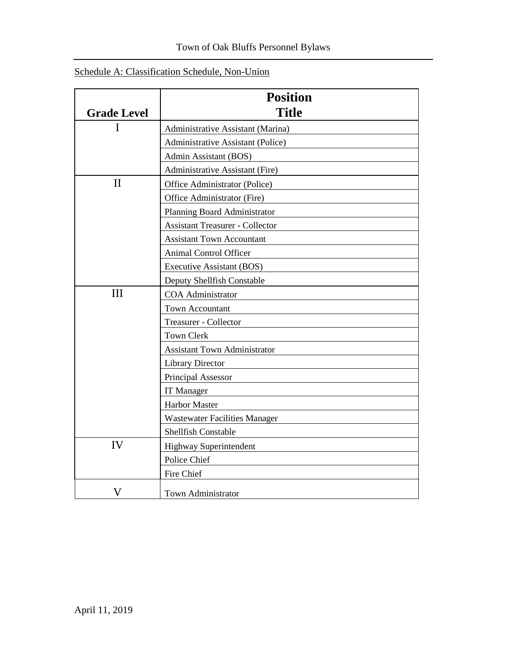|                    | <b>Position</b>                        |  |  |  |  |  |  |
|--------------------|----------------------------------------|--|--|--|--|--|--|
| <b>Grade Level</b> | <b>Title</b>                           |  |  |  |  |  |  |
| I                  | Administrative Assistant (Marina)      |  |  |  |  |  |  |
|                    | Administrative Assistant (Police)      |  |  |  |  |  |  |
|                    | Admin Assistant (BOS)                  |  |  |  |  |  |  |
|                    | Administrative Assistant (Fire)        |  |  |  |  |  |  |
| $\mathbf{I}$       | Office Administrator (Police)          |  |  |  |  |  |  |
|                    | Office Administrator (Fire)            |  |  |  |  |  |  |
|                    | Planning Board Administrator           |  |  |  |  |  |  |
|                    | <b>Assistant Treasurer - Collector</b> |  |  |  |  |  |  |
|                    | <b>Assistant Town Accountant</b>       |  |  |  |  |  |  |
|                    | <b>Animal Control Officer</b>          |  |  |  |  |  |  |
|                    | Executive Assistant (BOS)              |  |  |  |  |  |  |
|                    | Deputy Shellfish Constable             |  |  |  |  |  |  |
| Ш                  | <b>COA</b> Administrator               |  |  |  |  |  |  |
|                    | <b>Town Accountant</b>                 |  |  |  |  |  |  |
|                    | <b>Treasurer - Collector</b>           |  |  |  |  |  |  |
|                    | <b>Town Clerk</b>                      |  |  |  |  |  |  |
|                    | <b>Assistant Town Administrator</b>    |  |  |  |  |  |  |
|                    | <b>Library Director</b>                |  |  |  |  |  |  |
|                    | Principal Assessor                     |  |  |  |  |  |  |
|                    | IT Manager                             |  |  |  |  |  |  |
|                    | <b>Harbor Master</b>                   |  |  |  |  |  |  |
|                    | <b>Wastewater Facilities Manager</b>   |  |  |  |  |  |  |
|                    | Shellfish Constable                    |  |  |  |  |  |  |
| IV                 | Highway Superintendent                 |  |  |  |  |  |  |
|                    | Police Chief                           |  |  |  |  |  |  |
|                    | Fire Chief                             |  |  |  |  |  |  |
| $\rm V$            | <b>Town Administrator</b>              |  |  |  |  |  |  |

# Schedule A: Classification Schedule, Non-Union